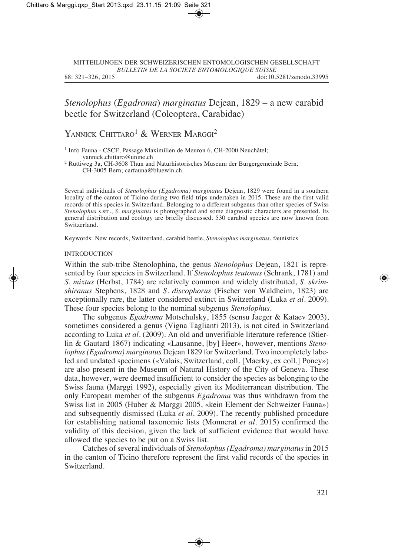# *Stenolophus* (*Egadroma*) *marginatus* Dejean, 1829 – a new carabid beetle for Switzerland (Coleoptera, Carabidae)

# YANNICK CHITTARO<sup>1</sup> & WERNER MARGGI<sup>2</sup>

<sup>1</sup> Info Fauna - CSCF, Passage Maximilien de Meuron 6, CH-2000 Neuchâtel; vannick chittaro@unine.ch

<sup>2</sup> Rüttiweg 3a, CH-3608 Thun and Naturhistorisches Museum der Burgergemeinde Bern, CH-3005 Bern; carfauna@bluewin.ch

Several individuals of *Stenolophus (Egadroma) marginatus* Dejean, 1829 were found in a southern locality of the canton of Ticino during two field trips undertaken in 2015. These are the first valid records of this species in Switzerland. Belonging to a different subgenus than other species of Swiss *Stenolophus* s.str., *S. marginatus* is photographed and some diagnostic characters are presented. Its general distribution and ecology are briefly discussed. 530 carabid species are now known from Switzerland.

Keywords: New records, Switzerland, carabid beetle, *Stenolophus marginatus*, faunistics

#### INTRODUCTION

Within the sub-tribe Stenolophina, the genus *Stenolophus* Dejean, 1821 is represented by four species in Switzerland. If *Stenolophus teutonus* (Schrank, 1781) and *S. mixtus* (Herbst, 1784) are relatively common and widely distributed, *S. skrimshiranus* Stephens, 1828 and *S. discophorus* (Fischer von Waldheim, 1823) are exceptionally rare, the latter considered extinct in Switzerland (Luka *et al.* 2009). These four species belong to the nominal subgenus *Stenolophus*.

The subgenus *Egadroma* Motschulsky, 1855 (sensu Jaeger & Kataev 2003), sometimes considered a genus (Vigna Taglianti 2013), is not cited in Switzerland according to Luka *et al.* (2009). An old and unverifiable literature reference (Stierlin & Gautard 1867) indicating «Lausanne, [by] Heer», however, mentions *Stenolophus (Egadroma) marginatus* Dejean 1829 for Switzerland. Two incompletely labeled and undated specimens («Valais, Switzerland, coll. [Maerky, ex coll.] Poncy») are also present in the Museum of Natural History of the City of Geneva. These data, however, were deemed insufficient to consider the species as belonging to the Swiss fauna (Marggi 1992), especially given its Mediterranean distribution. The only European member of the subgenus *Egadroma* was thus withdrawn from the Swiss list in 2005 (Huber & Marggi 2005, «kein Element der Schweizer Fauna») and subsequently dismissed (Luka *et al.* 2009). The recently published procedure for establishing national taxonomic lists (Monnerat *et al.* 2015) confirmed the validity of this decision, given the lack of sufficient evidence that would have allowed the species to be put on a Swiss list.

Catches of several individuals of *Stenolophus (Egadroma) marginatus*in 2015 in the canton of Ticino therefore represent the first valid records of the species in Switzerland.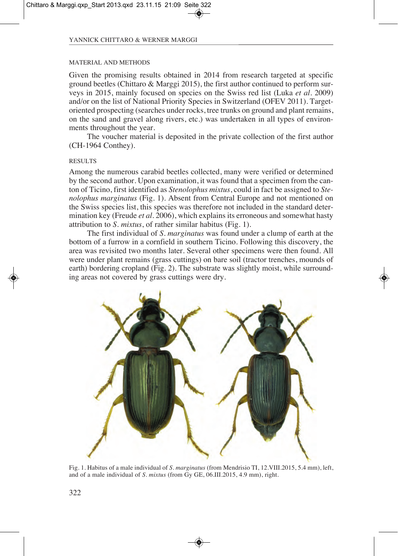# MATERIAL AND METHODS

Given the promising results obtained in 2014 from research targeted at specific ground beetles (Chittaro & Marggi 2015), the first author continued to perform surveys in 2015, mainly focused on species on the Swiss red list (Luka *et al.* 2009) and/or on the list of National Priority Species in Switzerland (OFEV 2011). Targetoriented prospecting (searches under rocks, tree trunks on ground and plant remains, on the sand and gravel along rivers, etc.) was undertaken in all types of environments throughout the year.

The voucher material is deposited in the private collection of the first author (CH-1964 Conthey).

# RESULTS

Among the numerous carabid beetles collected, many were verified or determined by the second author. Upon examination, it was found that a specimen from the canton of Ticino, first identified as *Stenolophus mixtus*, could in fact be assigned to *Stenolophus marginatus* (Fig. 1). Absent from Central Europe and not mentioned on the Swiss species list, this species was therefore not included in the standard determination key (Freude *et al.* 2006), which explains its erroneous and somewhat hasty attribution to *S. mixtus*, of rather similar habitus (Fig. 1).

The first individual of *S. marginatus* was found under a clump of earth at the bottom of a furrow in a cornfield in southern Ticino. Following this discovery, the area was revisited two months later. Several other specimens were then found. All were under plant remains (grass cuttings) on bare soil (tractor trenches, mounds of earth) bordering cropland (Fig. 2). The substrate was slightly moist, while surrounding areas not covered by grass cuttings were dry.



Fig. 1. Habitus of a male individual of *S. marginatus* (from Mendrisio TI, 12.VIII.2015, 5.4 mm), left, and of a male individual of *S. mixtus* (from Gy GE, 06.III.2015, 4.9 mm), right.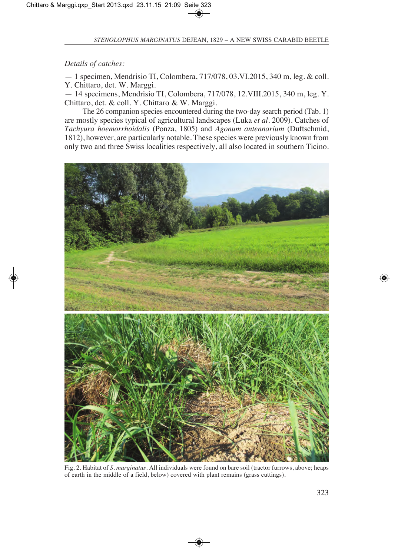# *Details of catches:*

— 1 specimen, Mendrisio TI, Colombera, 717/078, 03.VI.2015, 340 m, leg. & coll. Y. Chittaro, det. W. Marggi.

— 14 specimens, Mendrisio TI, Colombera, 717/078, 12.VIII.2015, 340 m, leg. Y. Chittaro, det. & coll. Y. Chittaro & W. Marggi.

The 26 companion species encountered during the two-day search period (Tab. 1) are mostly species typical of agricultural landscapes (Luka *et al*. 2009). Catches of *Tachyura hoemorrhoidalis* (Ponza, 1805) and *Agonum antennarium* (Duftschmid, 1812), however, are particularly notable. These species were previously known from only two and three Swiss localities respectively, all also located in southern Ticino.



Fig. 2. Habitat of *S. marginatus*. All individuals were found on bare soil (tractor furrows, above; heaps of earth in the middle of a field, below) covered with plant remains (grass cuttings).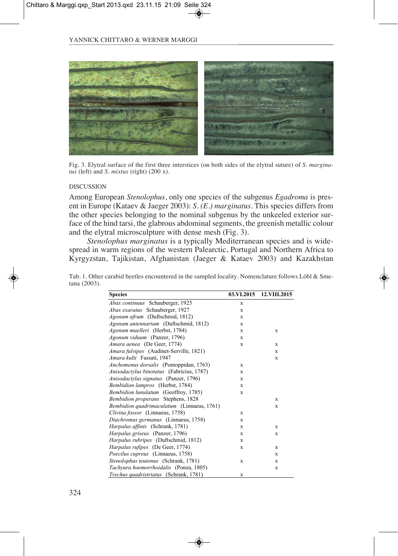

Fig. 3. Elytral surface of the first three interstices (on both sides of the elytral suture) of *S. marginatus* (left) and *S. mixtus* (right) (200 x).

## DISCUSSION

Among European *Stenolophus*, only one species of the subgenus *Egadroma* is pres ent in Europe (Kataev & Jaeger 2003): *S. (E.) marginatus*. This species differs from the other species belonging to the nominal subgenus by the unkeeled exterior surface of the hind tarsi, the glabrous abdominal segments, the greenish metallic colour and the elytral microsculpture with dense mesh (Fig. 3).

*Stenolophus marginatus* is a typically Mediterranean species and is wide spread in warm regions of the western Palearctic, Portugal and Northern Africa to Kyrgyzstan, Tajikistan, Afghanistan (Jaeger & Kataev 2003) and Kazakhstan

| <b>Species</b>                             | 03.VI.2015  | 12.VIII.2015 |
|--------------------------------------------|-------------|--------------|
| Abax continuus Schauberger, 1925           | X           |              |
| Abax exaratus Schauberger, 1927            | X           |              |
| Agonum afrum (Duftschmid, 1812)            | $\mathbf x$ |              |
| Agonum antennarium (Duftschmid, 1812)      | X           |              |
| Agonum muelleri (Herbst, 1784)             | X           | X            |
| Agonum viduum (Panzer, 1796)               | X           |              |
| Amara aenea (De Geer, 1774)                | X           | X            |
| Amara fulvipes (Audinet-Serville, 1821)    |             | X            |
| Amara kulti Fassati, 1947                  |             | X            |
| Anchomenus dorsalis (Pontoppidan, 1763)    | X           |              |
| Anisodactylus binotatus (Fabricius, 1787)  | X           |              |
| Anisodactylus signatus (Panzer, 1796)      | X           |              |
| Bembidion lampros (Herbst, 1784)           | X           |              |
| Bembidion lunulatum (Geoffroy, 1785)       | X           |              |
| Bembidion properans Stephens, 1828         |             | X            |
| Bembidion quadrimaculatum (Linnaeus, 1761) |             | X            |
| Clivina fossor (Linnaeus, 1758)            | X           |              |
| Diachromus germanus (Linnaeus, 1758)       | X           |              |
| Harpalus affinis (Schrank, 1781)           | X           | X            |
| Harpalus griseus (Panzer, 1796)            | X           | X            |
| Harpalus rubripes (Duftschmid, 1812)       | X           |              |
| Harpalus rufipes (De Geer, 1774)           | X           | X            |
| Poecilus cupreus (Linnaeus, 1758)          |             | X            |
| Stenolophus teutonus (Schrank, 1781)       | X           | X            |
| Tachyura hoemorrhoidalis (Ponza, 1805)     |             | X            |
| Trechus quadristriatus (Schrank, 1781)     | X           |              |

Tab. 1. Other carabid beetles encountered in the sampled locality. Nomenclature follows Löbl & Smetana (2003).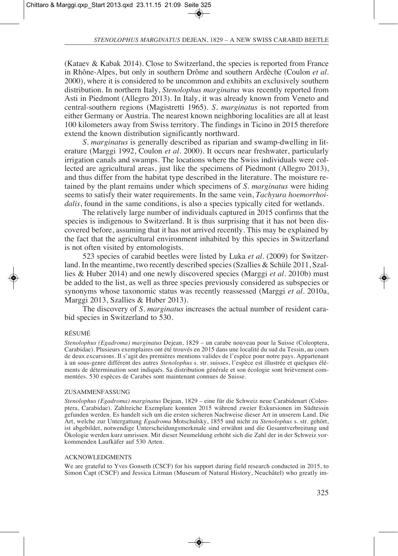(Kataev & Kabak 2014). Close to Switzerland, the species is reported from France in Rhône-Alpes, but only in southern Drôme and southern Ardèche (Coulon *et al.* 2000), where it is considered to be uncommon and exhibits an exclusively southern distribution. In northern Italy, *Stenolophus marginatus* was recently reported from Asti in Piedmont (Allegro 2013). In Italy, it was already known from Veneto and central-southern regions (Magistretti 1965). *S. marginatus* is not reported from either Germany or Austria. The nearest known neighboring localities are all at least 100 kilometers away from Swiss territory. The findings in Ticino in 2015 therefore extend the known distribution significantly northward.

*S. marginatus* is generally described as riparian and swamp-dwelling in literature (Marggi 1992, Coulon *et al*. 2000). It occurs near freshwater, particularly irrigation canals and swamps. The locations where the Swiss individuals were collected are agricultural areas, just like the specimens of Piedmont (Allegro 2013), and thus differ from the habitat type described in the literature. The moisture re tain ed by the plant remains under which specimens of *S. marginatus* were hiding seems to satisfy their water requirements. In the same vein, *Tachyura hoemorrhoidalis*, found in the same conditions, is also a species typically cited for wetlands.

The relatively large number of individuals captured in 2015 confirms that the species is indigenous to Switzerland. It is thus surprising that it has not been discovered before, assuming that it has not arrived recently. This may be explained by the fact that the agricultural environment inhabited by this species in Switzerland is not often visited by entomologists.

523 species of carabid beetles were listed by Luka *et al.* (2009) for Switzerland. In the meantime, two recently described species (Szallies & Schüle 2011, Szallies & Huber 2014) and one newly discovered species (Marggi *et al*. 2010b) must be added to the list, as well as three species previously considered as subspecies or synonyms whose taxonomic status was recently reassessed (Marggi *et al.* 2010a, Marggi 2013, Szallies & Huber 2013).

The discovery of *S. marginatus* increases the actual number of resident carabid species in Switzerland to 530.

## RÉSUMÉ

*Stenolophus (Egadroma) marginatus* Dejean, 1829 – un carabe nouveau pour la Suisse (Coleoptera, Carabidae). Plusieurs exemplaires ont été trouvés en 2015 dans une localité du sud du Tessin, au cours de deux excursions. Il s'agit des premières mentions valides de l'espèce pour notre pays. Appartenant à un sous-genre différent des autres *Stenolophus* s. str. suisses, l'espèce est illustrée et quelques éléments de détermination sont indiqués. Sa distribution générale et son écologie sont brièvement commentées. 530 espèces de Carabes sont maintenant connues de Suisse.

#### ZUSAMMENFASSUNG

*Stenolophus (Egadroma) marginatus* Dejean, 1829 – eine für die Schweiz neue Carabidenart (Coleo ptera, Carabidae). Zahlreiche Exemplare konnten 2015 während zweier Exkursionen im Südtessin gefunden werden. Es handelt sich um die ersten sicheren Nachweise dieser Art in unserem Land. Die Art, welche zur Untergattung *Egadroma* Motschulsky, 1855 und nicht zu *Stenolophus* s. str. gehört, ist abgebildet, notwendige Unterscheidungsmerkmale sind erwähnt und die Gesamtverbreitung und Ökologie werden kurz umrissen. Mit dieser Neumeldung erhöht sich die Zahl der in der Schweiz vorkommenden Laufkäfer auf 530 Arten.

## ACKNOWLEDGMENTS

We are grateful to Yves Gonseth (CSCF) for his support during field research conducted in 2015, to Simon Capt (CSCF) and Jessica Litman (Museum of Natural History, Neuchâtel) who greatly im